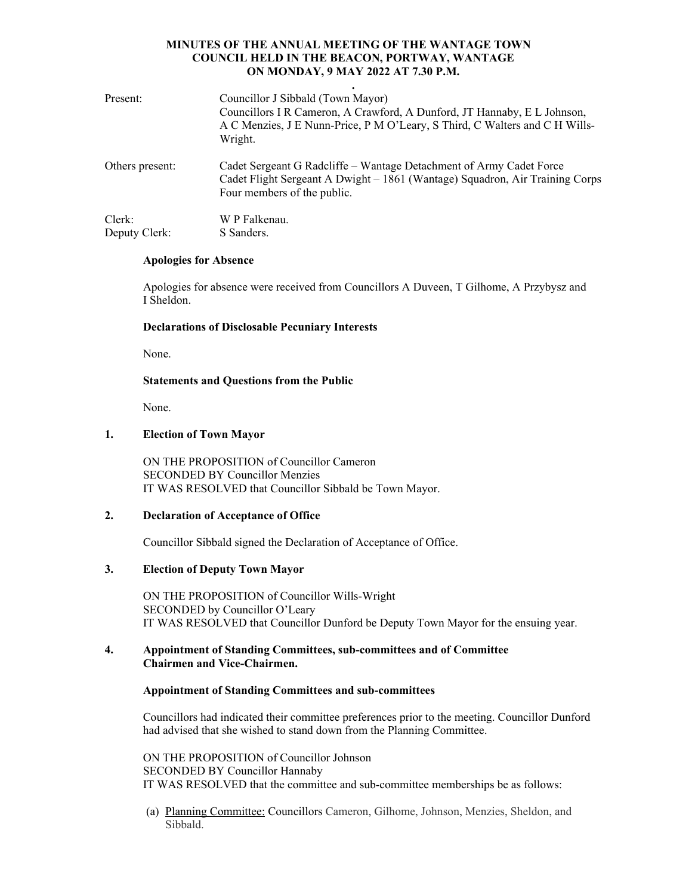| Present:        | Councillor J Sibbald (Town Mayor)<br>Councillors I R Cameron, A Crawford, A Dunford, JT Hannaby, E L Johnson,<br>A C Menzies, J E Nunn-Price, P M O'Leary, S Third, C Walters and C H Wills-<br>Wright. |
|-----------------|---------------------------------------------------------------------------------------------------------------------------------------------------------------------------------------------------------|
| Others present: | Cadet Sergeant G Radcliffe - Wantage Detachment of Army Cadet Force<br>Cadet Flight Sergeant A Dwight - 1861 (Wantage) Squadron, Air Training Corps<br>Four members of the public.                      |
| Clerk:          | W P Falkenau.                                                                                                                                                                                           |
| Deputy Clerk:   | S Sanders.                                                                                                                                                                                              |

#### **Apologies for Absence**

Apologies for absence were received from Councillors A Duveen, T Gilhome, A Przybysz and I Sheldon.

### **Declarations of Disclosable Pecuniary Interests**

None.

# **Statements and Questions from the Public**

None.

# **1. Election of Town Mayor**

ON THE PROPOSITION of Councillor Cameron SECONDED BY Councillor Menzies IT WAS RESOLVED that Councillor Sibbald be Town Mayor.

### **2. Declaration of Acceptance of Office**

Councillor Sibbald signed the Declaration of Acceptance of Office.

# **3. Election of Deputy Town Mayor**

ON THE PROPOSITION of Councillor Wills-Wright SECONDED by Councillor O'Leary IT WAS RESOLVED that Councillor Dunford be Deputy Town Mayor for the ensuing year.

### **4. Appointment of Standing Committees, sub-committees and of Committee Chairmen and Vice-Chairmen.**

### **Appointment of Standing Committees and sub-committees**

Councillors had indicated their committee preferences prior to the meeting. Councillor Dunford had advised that she wished to stand down from the Planning Committee.

ON THE PROPOSITION of Councillor Johnson SECONDED BY Councillor Hannaby IT WAS RESOLVED that the committee and sub-committee memberships be as follows:

(a) Planning Committee: Councillors Cameron, Gilhome, Johnson, Menzies, Sheldon, and Sibbald.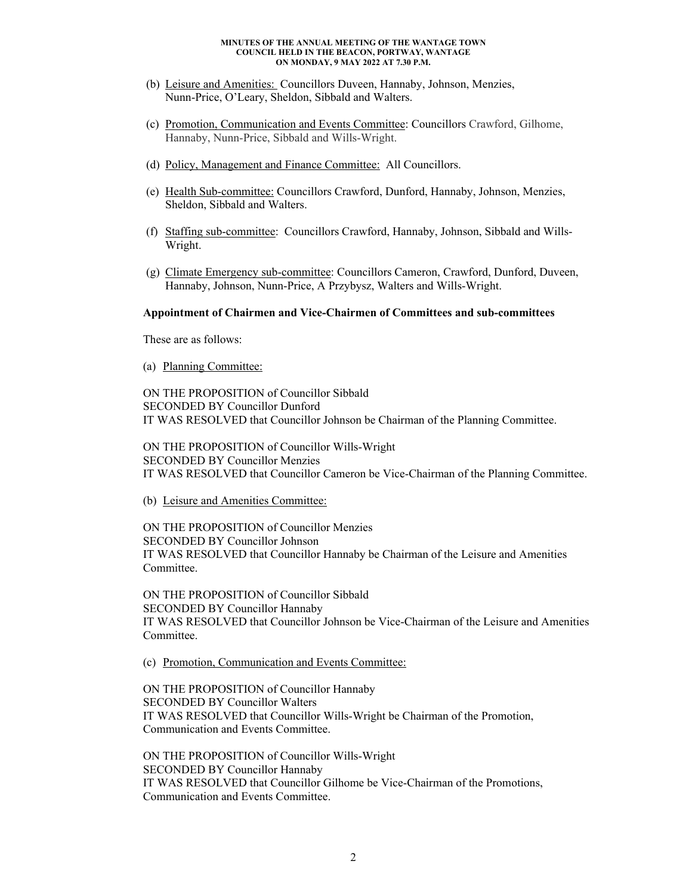- (b) Leisure and Amenities: Councillors Duveen, Hannaby, Johnson, Menzies, Nunn-Price, O'Leary, Sheldon, Sibbald and Walters.
- (c) Promotion, Communication and Events Committee: Councillors Crawford, Gilhome, Hannaby, Nunn-Price, Sibbald and Wills-Wright.
- (d) Policy, Management and Finance Committee: All Councillors.
- (e) Health Sub-committee: Councillors Crawford, Dunford, Hannaby, Johnson, Menzies, Sheldon, Sibbald and Walters.
- (f) Staffing sub-committee: Councillors Crawford, Hannaby, Johnson, Sibbald and Wills-Wright.
- (g) Climate Emergency sub-committee: Councillors Cameron, Crawford, Dunford, Duveen, Hannaby, Johnson, Nunn-Price, A Przybysz, Walters and Wills-Wright.

#### **Appointment of Chairmen and Vice-Chairmen of Committees and sub-committees**

These are as follows:

(a) Planning Committee:

ON THE PROPOSITION of Councillor Sibbald SECONDED BY Councillor Dunford IT WAS RESOLVED that Councillor Johnson be Chairman of the Planning Committee.

ON THE PROPOSITION of Councillor Wills-Wright SECONDED BY Councillor Menzies IT WAS RESOLVED that Councillor Cameron be Vice-Chairman of the Planning Committee.

(b) Leisure and Amenities Committee:

ON THE PROPOSITION of Councillor Menzies SECONDED BY Councillor Johnson IT WAS RESOLVED that Councillor Hannaby be Chairman of the Leisure and Amenities Committee.

ON THE PROPOSITION of Councillor Sibbald SECONDED BY Councillor Hannaby IT WAS RESOLVED that Councillor Johnson be Vice-Chairman of the Leisure and Amenities Committee.

(c) Promotion, Communication and Events Committee:

ON THE PROPOSITION of Councillor Hannaby SECONDED BY Councillor Walters IT WAS RESOLVED that Councillor Wills-Wright be Chairman of the Promotion, Communication and Events Committee.

ON THE PROPOSITION of Councillor Wills-Wright SECONDED BY Councillor Hannaby IT WAS RESOLVED that Councillor Gilhome be Vice-Chairman of the Promotions, Communication and Events Committee.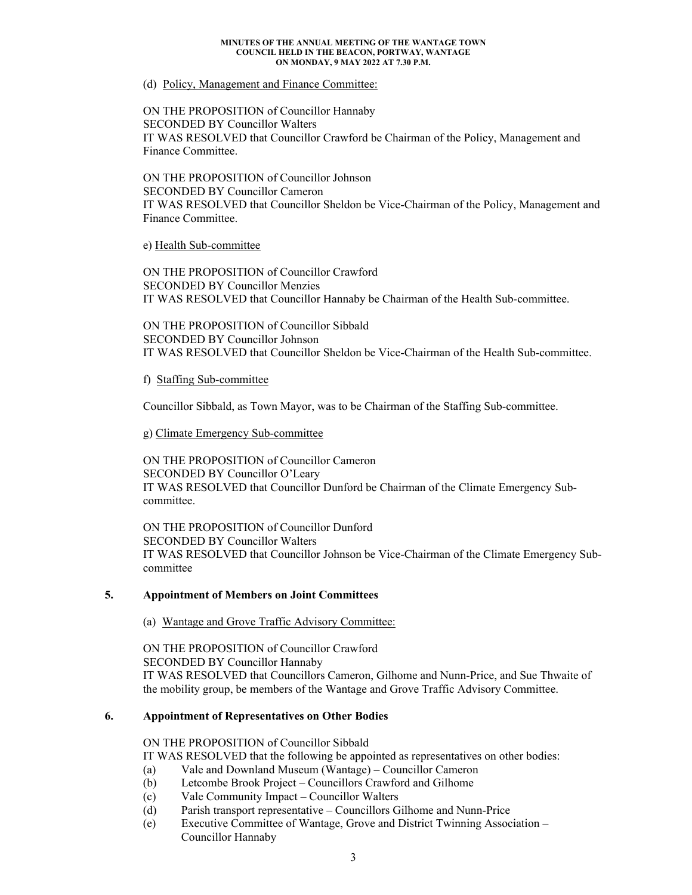#### (d) Policy, Management and Finance Committee:

## ON THE PROPOSITION of Councillor Hannaby SECONDED BY Councillor Walters IT WAS RESOLVED that Councillor Crawford be Chairman of the Policy, Management and Finance Committee.

ON THE PROPOSITION of Councillor Johnson SECONDED BY Councillor Cameron IT WAS RESOLVED that Councillor Sheldon be Vice-Chairman of the Policy, Management and Finance Committee.

e) Health Sub-committee

ON THE PROPOSITION of Councillor Crawford SECONDED BY Councillor Menzies IT WAS RESOLVED that Councillor Hannaby be Chairman of the Health Sub-committee.

ON THE PROPOSITION of Councillor Sibbald SECONDED BY Councillor Johnson IT WAS RESOLVED that Councillor Sheldon be Vice-Chairman of the Health Sub-committee.

### f) Staffing Sub-committee

Councillor Sibbald, as Town Mayor, was to be Chairman of the Staffing Sub-committee.

# g) Climate Emergency Sub-committee

ON THE PROPOSITION of Councillor Cameron SECONDED BY Councillor O'Leary IT WAS RESOLVED that Councillor Dunford be Chairman of the Climate Emergency Subcommittee.

ON THE PROPOSITION of Councillor Dunford SECONDED BY Councillor Walters IT WAS RESOLVED that Councillor Johnson be Vice-Chairman of the Climate Emergency Subcommittee

### **5. Appointment of Members on Joint Committees**

(a) Wantage and Grove Traffic Advisory Committee:

ON THE PROPOSITION of Councillor Crawford SECONDED BY Councillor Hannaby IT WAS RESOLVED that Councillors Cameron, Gilhome and Nunn-Price, and Sue Thwaite of the mobility group, be members of the Wantage and Grove Traffic Advisory Committee.

### **6. Appointment of Representatives on Other Bodies**

ON THE PROPOSITION of Councillor Sibbald

IT WAS RESOLVED that the following be appointed as representatives on other bodies:

- (a) Vale and Downland Museum (Wantage) Councillor Cameron
- (b) Letcombe Brook Project Councillors Crawford and Gilhome
- (c) Vale Community Impact Councillor Walters
- (d) Parish transport representative Councillors Gilhome and Nunn-Price
- (e) Executive Committee of Wantage, Grove and District Twinning Association Councillor Hannaby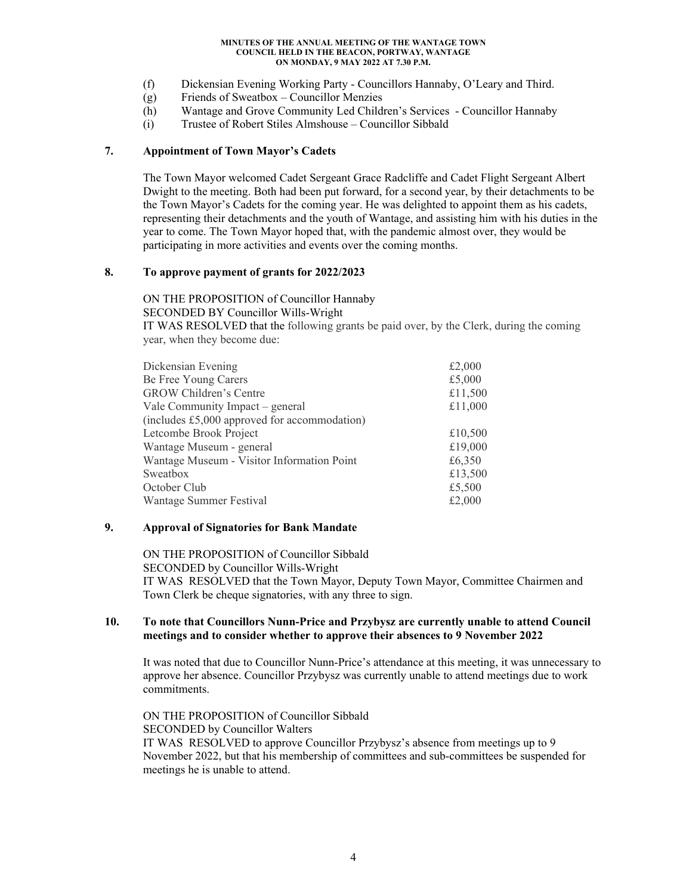- (f) Dickensian Evening Working Party Councillors Hannaby, O'Leary and Third.
- (g) Friends of Sweatbox Councillor Menzies
- (h) Wantage and Grove Community Led Children's Services Councillor Hannaby
- (i) Trustee of Robert Stiles Almshouse Councillor Sibbald

### **7. Appointment of Town Mayor's Cadets**

The Town Mayor welcomed Cadet Sergeant Grace Radcliffe and Cadet Flight Sergeant Albert Dwight to the meeting. Both had been put forward, for a second year, by their detachments to be the Town Mayor's Cadets for the coming year. He was delighted to appoint them as his cadets, representing their detachments and the youth of Wantage, and assisting him with his duties in the year to come. The Town Mayor hoped that, with the pandemic almost over, they would be participating in more activities and events over the coming months.

# **8. To approve payment of grants for 2022/2023**

ON THE PROPOSITION of Councillor Hannaby SECONDED BY Councillor Wills-Wright

IT WAS RESOLVED that the following grants be paid over, by the Clerk, during the coming year, when they become due:

| Dickensian Evening                           | £2,000  |
|----------------------------------------------|---------|
| Be Free Young Carers                         | £5,000  |
| <b>GROW Children's Centre</b>                | £11,500 |
| Vale Community Impact – general              | £11,000 |
| (includes £5,000 approved for accommodation) |         |
| Letcombe Brook Project                       | £10,500 |
| Wantage Museum - general                     | £19,000 |
| Wantage Museum - Visitor Information Point   | £6,350  |
| Sweatbox                                     | £13,500 |
| October Club                                 | £5,500  |
| Wantage Summer Festival                      | £2,000  |
|                                              |         |

# **9. Approval of Signatories for Bank Mandate**

ON THE PROPOSITION of Councillor Sibbald SECONDED by Councillor Wills-Wright IT WAS RESOLVED that the Town Mayor, Deputy Town Mayor, Committee Chairmen and Town Clerk be cheque signatories, with any three to sign.

### **10. To note that Councillors Nunn-Price and Przybysz are currently unable to attend Council meetings and to consider whether to approve their absences to 9 November 2022**

It was noted that due to Councillor Nunn-Price's attendance at this meeting, it was unnecessary to approve her absence. Councillor Przybysz was currently unable to attend meetings due to work commitments.

 ON THE PROPOSITION of Councillor Sibbald SECONDED by Councillor Walters IT WAS RESOLVED to approve Councillor Przybysz's absence from meetings up to 9 November 2022, but that his membership of committees and sub-committees be suspended for meetings he is unable to attend.